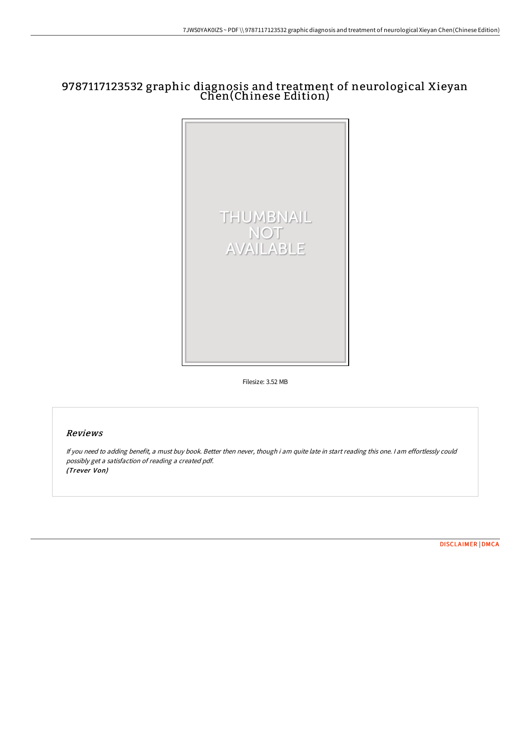# 9787117123532 graphic diagnosis and treatment of neurological Xieyan Chen(Chinese Edition)



Filesize: 3.52 MB

## Reviews

If you need to adding benefit, <sup>a</sup> must buy book. Better then never, though i am quite late in start reading this one. <sup>I</sup> am effortlessly could possibly get <sup>a</sup> satisfaction of reading <sup>a</sup> created pdf. (Trever Von)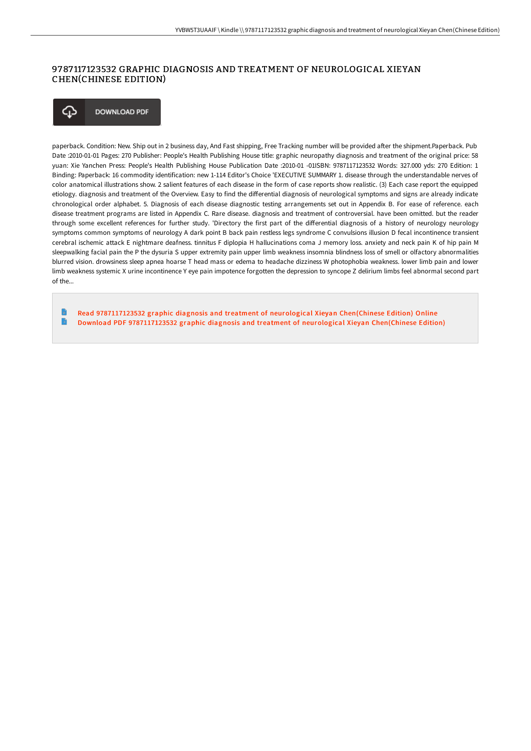### 9787 117 123532 GRAPHIC DIAGNOSIS AND TREATMENT OF NEUROLOGICAL XIEYAN CHEN(CHINESE EDITION)

**DOWNLOAD PDF** ঞ

paperback. Condition: New. Ship out in 2 business day, And Fast shipping, Free Tracking number will be provided after the shipment.Paperback. Pub Date :2010-01-01 Pages: 270 Publisher: People's Health Publishing House title: graphic neuropathy diagnosis and treatment of the original price: 58 yuan: Xie Yanchen Press: People's Health Publishing House Publication Date :2010-01 -01ISBN: 9787117123532 Words: 327.000 yds: 270 Edition: 1 Binding: Paperback: 16 commodity identification: new 1-114 Editor's Choice 'EXECUTIVE SUMMARY 1. disease through the understandable nerves of color anatomical illustrations show. 2 salient features of each disease in the form of case reports show realistic. (3) Each case report the equipped etiology. diagnosis and treatment of the Overview. Easy to find the differential diagnosis of neurological symptoms and signs are already indicate chronological order alphabet. 5. Diagnosis of each disease diagnostic testing arrangements set out in Appendix B. For ease of reference. each disease treatment programs are listed in Appendix C. Rare disease. diagnosis and treatment of controversial. have been omitted. but the reader through some excellent references for further study. 'Directory the first part of the differential diagnosis of a history of neurology neurology symptoms common symptoms of neurology A dark point B back pain restless legs syndrome C convulsions illusion D fecal incontinence transient cerebral ischemic attack E nightmare deafness. tinnitus F diplopia H hallucinations coma J memory loss. anxiety and neck pain K of hip pain M sleepwalking facial pain the P the dysuria S upper extremity pain upper limb weakness insomnia blindness loss of smell or olfactory abnormalities blurred vision. drowsiness sleep apnea hoarse T head mass or edema to headache dizziness W photophobia weakness. lower limb pain and lower limb weakness systemic X urine incontinence Y eye pain impotence forgotten the depression to syncope Z delirium limbs feel abnormal second part  $of the$ 

Read [9787117123532](http://bookera.tech/9787117123532-graphic-diagnosis-and-treatment-of.html) graphic diagnosis and treatment of neurological Xieyan Chen(Chinese Edition) Online  $\blacksquare$ Download PDF [9787117123532](http://bookera.tech/9787117123532-graphic-diagnosis-and-treatment-of.html) graphic diagnosis and treatment of neurological Xieyan Chen(Chinese Edition)